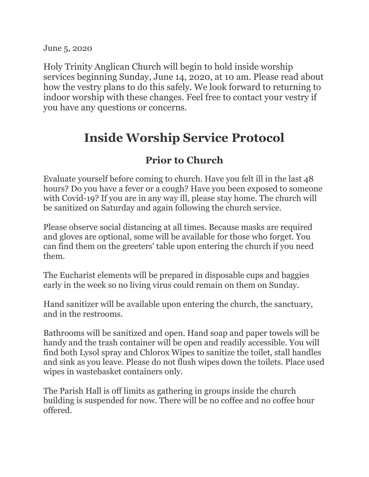June 5, 2020

Holy Trinity Anglican Church will begin to hold inside worship services beginning Sunday, June 14, 2020, at 10 am. Please read about how the vestry plans to do this safely. We look forward to returning to indoor worship with these changes. Feel free to contact your vestry if you have any questions or concerns.

## **Inside Worship Service Protocol**

## **Prior to Church**

Evaluate yourself before coming to church. Have you felt ill in the last 48 hours? Do you have a fever or a cough? Have you been exposed to someone with Covid-19? If you are in any way ill, please stay home. The church will be sanitized on Saturday and again following the church service.

Please observe social distancing at all times. Because masks are required and gloves are optional, some will be available for those who forget. You can find them on the greeters' table upon entering the church if you need them.

The Eucharist elements will be prepared in disposable cups and baggies early in the week so no living virus could remain on them on Sunday.

Hand sanitizer will be available upon entering the church, the sanctuary, and in the restrooms.

Bathrooms will be sanitized and open. Hand soap and paper towels will be handy and the trash container will be open and readily accessible. You will find both Lysol spray and Chlorox Wipes to sanitize the toilet, stall handles and sink as you leave. Please do not flush wipes down the toilets. Place used wipes in wastebasket containers only.

The Parish Hall is off limits as gathering in groups inside the church building is suspended for now. There will be no coffee and no coffee hour offered.